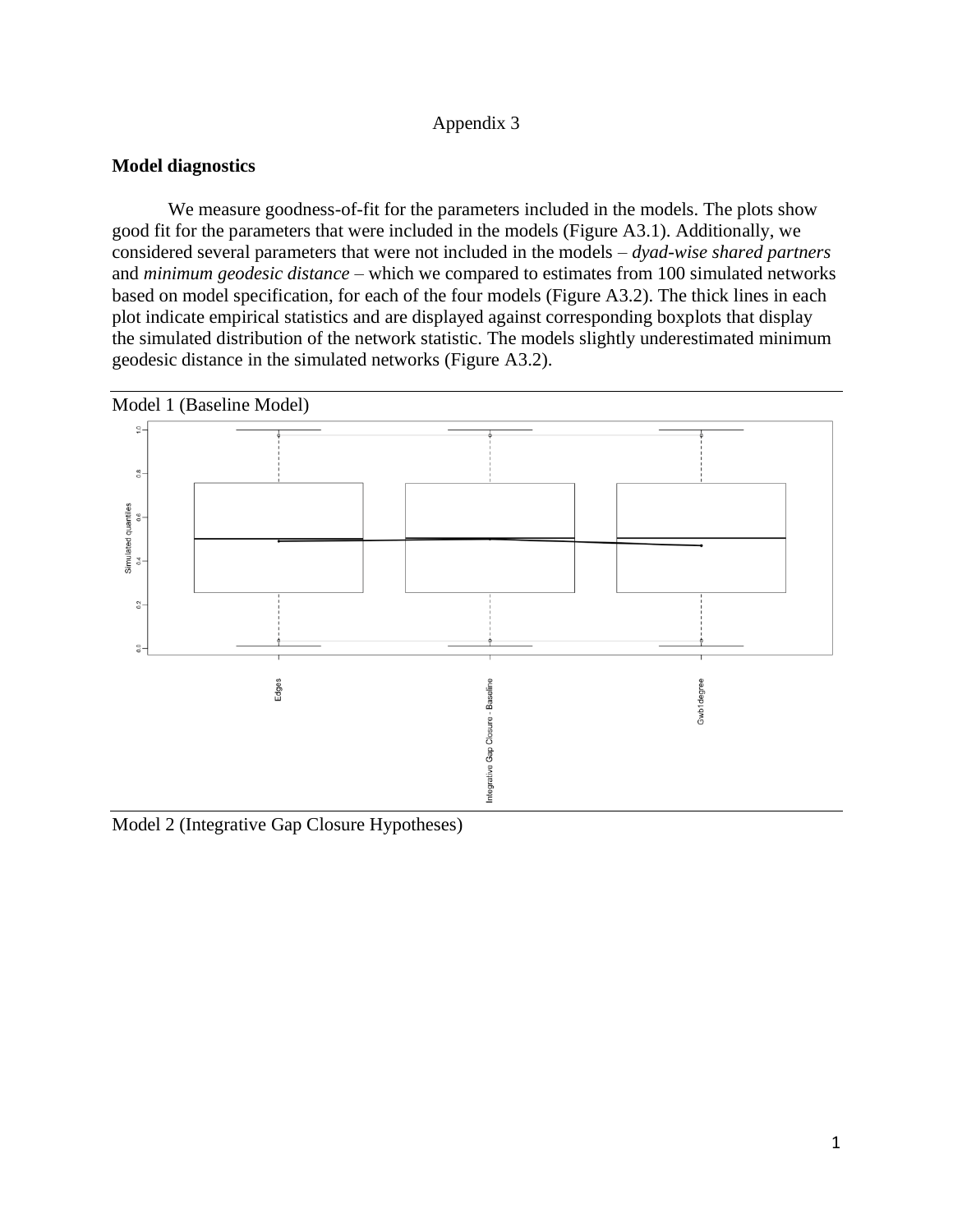## Appendix 3

## **Model diagnostics**

We measure goodness-of-fit for the parameters included in the models. The plots show good fit for the parameters that were included in the models (Figure A3.1). Additionally, we considered several parameters that were not included in the models – *dyad-wise shared partners* and *minimum geodesic distance* – which we compared to estimates from 100 simulated networks based on model specification, for each of the four models (Figure A3.2). The thick lines in each plot indicate empirical statistics and are displayed against corresponding boxplots that display the simulated distribution of the network statistic. The models slightly underestimated minimum geodesic distance in the simulated networks (Figure A3.2).



Model 2 (Integrative Gap Closure Hypotheses)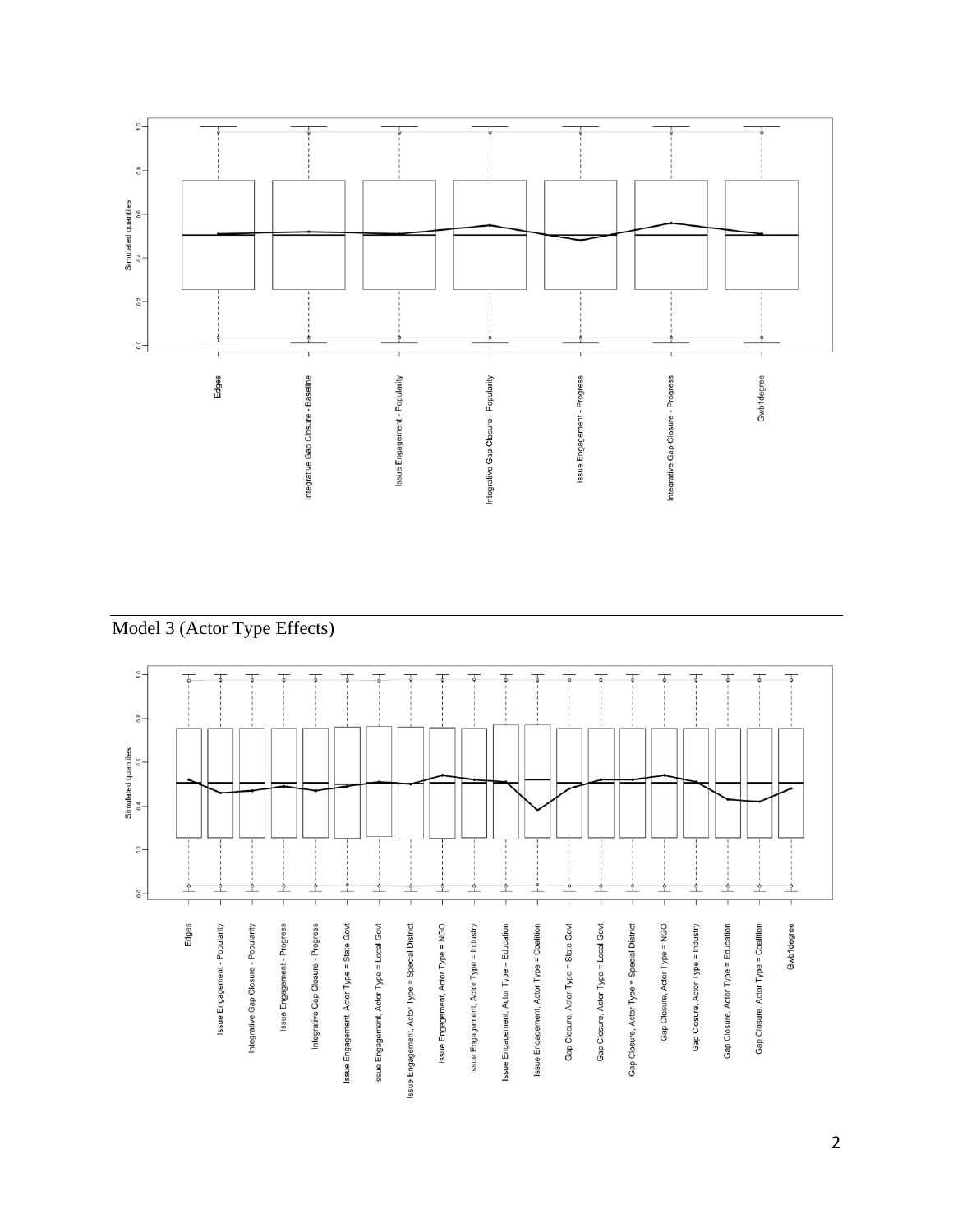

Model 3 (Actor Type Effects)

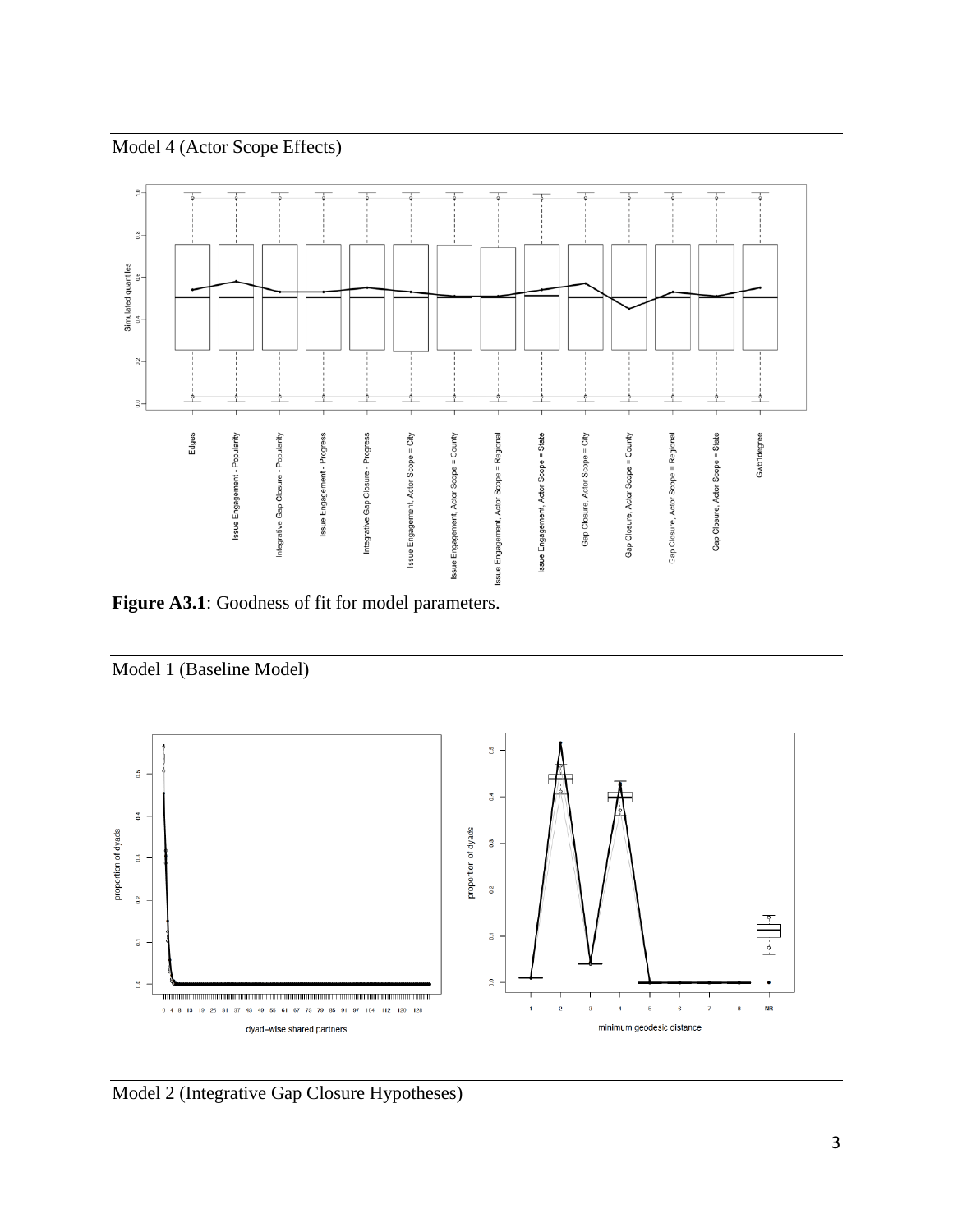## Model 4 (Actor Scope Effects)



Figure A3.1: Goodness of fit for model parameters.





Model 2 (Integrative Gap Closure Hypotheses)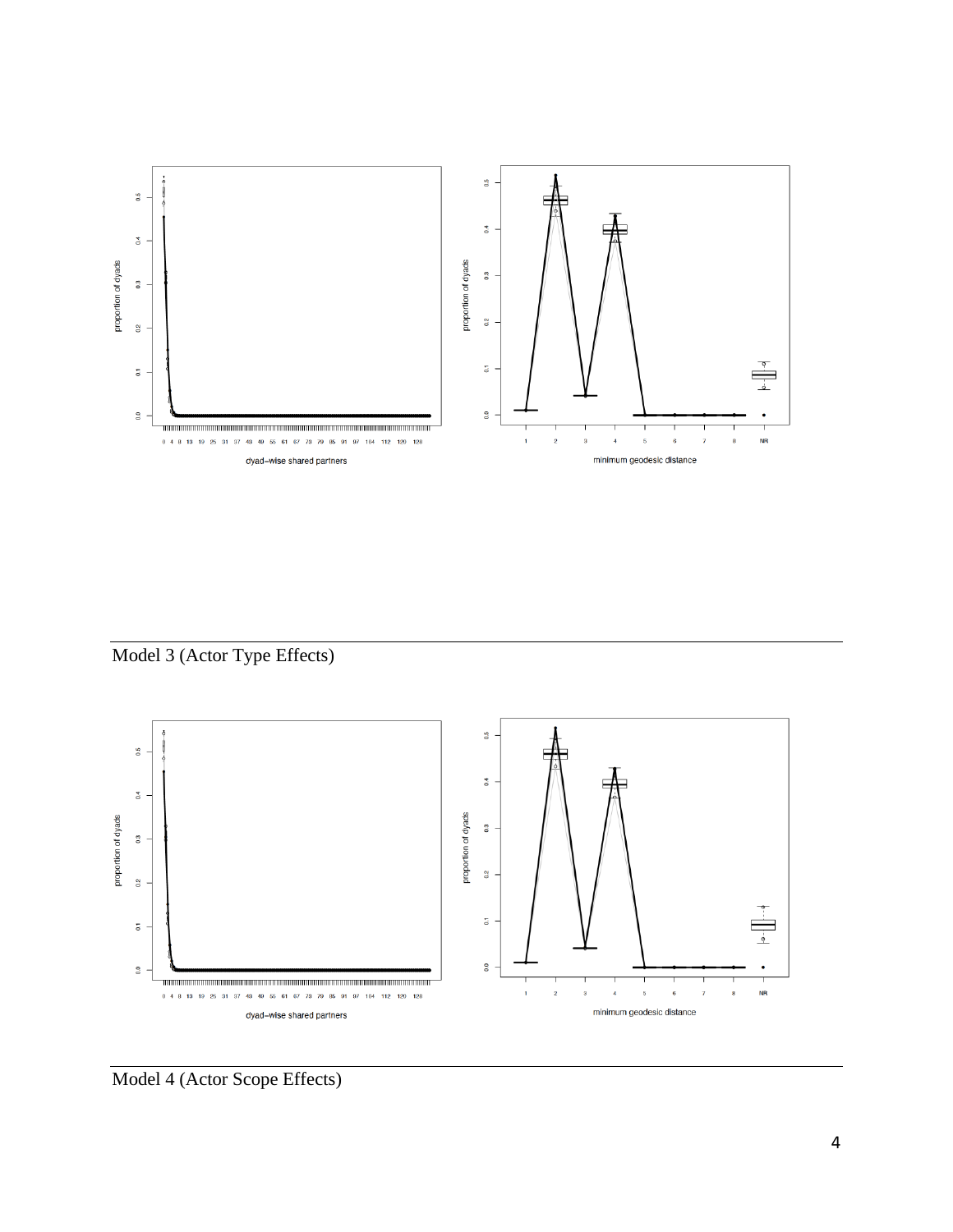

Model 3 (Actor Type Effects)



Model 4 (Actor Scope Effects)